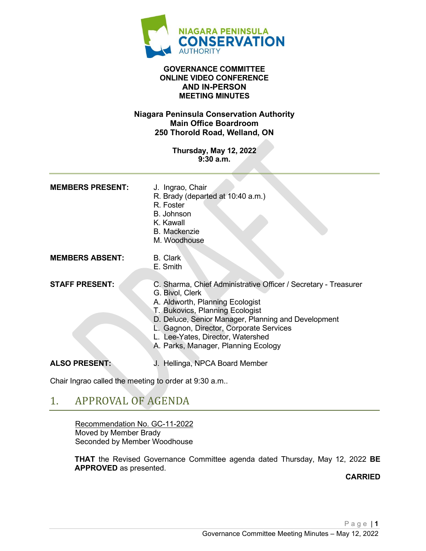

#### **GOVERNANCE COMMITTEE ONLINE VIDEO CONFERENCE AND IN-PERSON MEETING MINUTES**

#### **Niagara Peninsula Conservation Authority Main Office Boardroom 250 Thorold Road, Welland, ON**

**Thursday, May 12, 2022 9:30 a.m.**

| <b>MEMBERS PRESENT:</b> | J. Ingrao, Chair<br>R. Brady (departed at 10:40 a.m.)<br>R. Foster<br><b>B.</b> Johnson<br>K. Kawall<br><b>B.</b> Mackenzie<br>M. Woodhouse                                                                                                                                                                                         |
|-------------------------|-------------------------------------------------------------------------------------------------------------------------------------------------------------------------------------------------------------------------------------------------------------------------------------------------------------------------------------|
| <b>MEMBERS ABSENT:</b>  | B. Clark<br>E. Smith                                                                                                                                                                                                                                                                                                                |
| <b>STAFF PRESENT:</b>   | C. Sharma, Chief Administrative Officer / Secretary - Treasurer<br>G. Bivol, Clerk<br>A. Aldworth, Planning Ecologist<br>T. Bukovics, Planning Ecologist<br>D. Deluce, Senior Manager, Planning and Development<br>L. Gagnon, Director, Corporate Services<br>Lee-Yates, Director, Watershed<br>A. Parks, Manager, Planning Ecology |
| <b>ALSO PRESENT:</b>    | J. Hellinga, NPCA Board Member                                                                                                                                                                                                                                                                                                      |

Chair Ingrao called the meeting to order at 9:30 a.m..

## 1. APPROVAL OF AGENDA

Recommendation No. GC-11-2022 Moved by Member Brady Seconded by Member Woodhouse

**THAT** the Revised Governance Committee agenda dated Thursday, May 12, 2022 **BE APPROVED** as presented.

**CARRIED**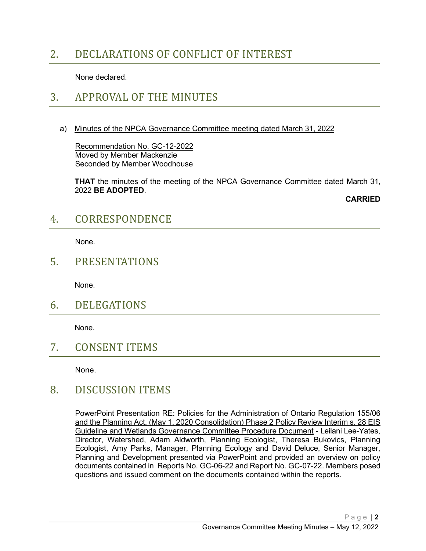# 2. DECLARATIONS OF CONFLICT OF INTEREST

None declared.

### 3. APPROVAL OF THE MINUTES

a) Minutes of the NPCA Governance Committee meeting dated March 31, 2022

Recommendation No. GC-12-2022 Moved by Member Mackenzie Seconded by Member Woodhouse

**THAT** the minutes of the meeting of the NPCA Governance Committee dated March 31, 2022 **BE ADOPTED**.

**CARRIED**

### 4. CORRESPONDENCE

None.

### 5. PRESENTATIONS

None.

6. DELEGATIONS

None.

7. CONSENT ITEMS

None.

### 8. DISCUSSION ITEMS

PowerPoint Presentation RE: Policies for the Administration of Ontario Regulation 155/06 and the Planning Act, (May 1, 2020 Consolidation) Phase 2 Policy Review Interim s. 28 EIS Guideline and Wetlands Governance Committee Procedure Document - Leilani Lee-Yates, Director, Watershed, Adam Aldworth, Planning Ecologist, Theresa Bukovics, Planning Ecologist, Amy Parks, Manager, Planning Ecology and David Deluce, Senior Manager, Planning and Development presented via PowerPoint and provided an overview on policy documents contained in Reports No. GC-06-22 and Report No. GC-07-22. Members posed questions and issued comment on the documents contained within the reports.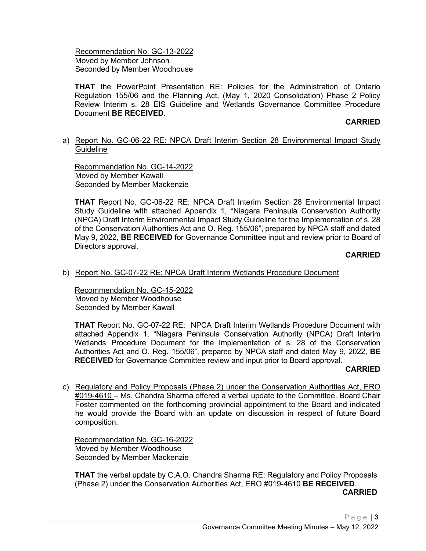Recommendation No. GC-13-2022 Moved by Member Johnson Seconded by Member Woodhouse

**THAT** the PowerPoint Presentation RE: Policies for the Administration of Ontario Regulation 155/06 and the Planning Act, (May 1, 2020 Consolidation) Phase 2 Policy Review Interim s. 28 EIS Guideline and Wetlands Governance Committee Procedure Document **BE RECEIVED**.

#### **CARRIED**

#### a) Report No. GC-06-22 RE: NPCA Draft Interim Section 28 Environmental Impact Study Guideline

Recommendation No. GC-14-2022 Moved by Member Kawall Seconded by Member Mackenzie

**THAT** Report No. GC-06-22 RE: NPCA Draft Interim Section 28 Environmental Impact Study Guideline with attached Appendix 1, "Niagara Peninsula Conservation Authority (NPCA) Draft Interim Environmental Impact Study Guideline for the Implementation of s. 28 of the Conservation Authorities Act and O. Reg. 155/06", prepared by NPCA staff and dated May 9, 2022, **BE RECEIVED** for Governance Committee input and review prior to Board of Directors approval.

#### **CARRIED**

#### b) Report No. GC-07-22 RE: NPCA Draft Interim Wetlands Procedure Document

Recommendation No. GC-15-2022 Moved by Member Woodhouse Seconded by Member Kawall

**THAT** Report No. GC-07-22 RE: NPCA Draft Interim Wetlands Procedure Document with attached Appendix 1, "Niagara Peninsula Conservation Authority (NPCA) Draft Interim Wetlands Procedure Document for the Implementation of s. 28 of the Conservation Authorities Act and O. Reg. 155/06", prepared by NPCA staff and dated May 9, 2022, **BE RECEIVED** for Governance Committee review and input prior to Board approval.

#### **CARRIED**

c) Regulatory and Policy Proposals (Phase 2) under the Conservation Authorities Act, ERO #019-4610 – Ms. Chandra Sharma offered a verbal update to the Committee. Board Chair Foster commented on the forthcoming provincial appointment to the Board and indicated he would provide the Board with an update on discussion in respect of future Board composition.

Recommendation No. GC-16-2022 Moved by Member Woodhouse Seconded by Member Mackenzie

**THAT** the verbal update by C.A.O. Chandra Sharma RE: Regulatory and Policy Proposals (Phase 2) under the Conservation Authorities Act, ERO #019-4610 **BE RECEIVED**.

**CARRIED**